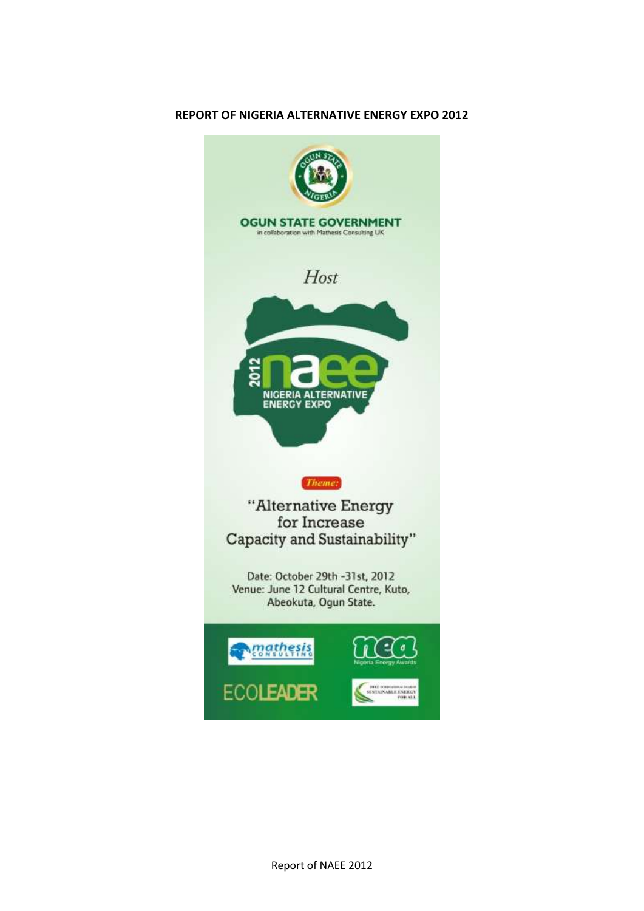# **REPORT OF NIGERIA ALTERNATIVE ENERGY EXPO 2012**

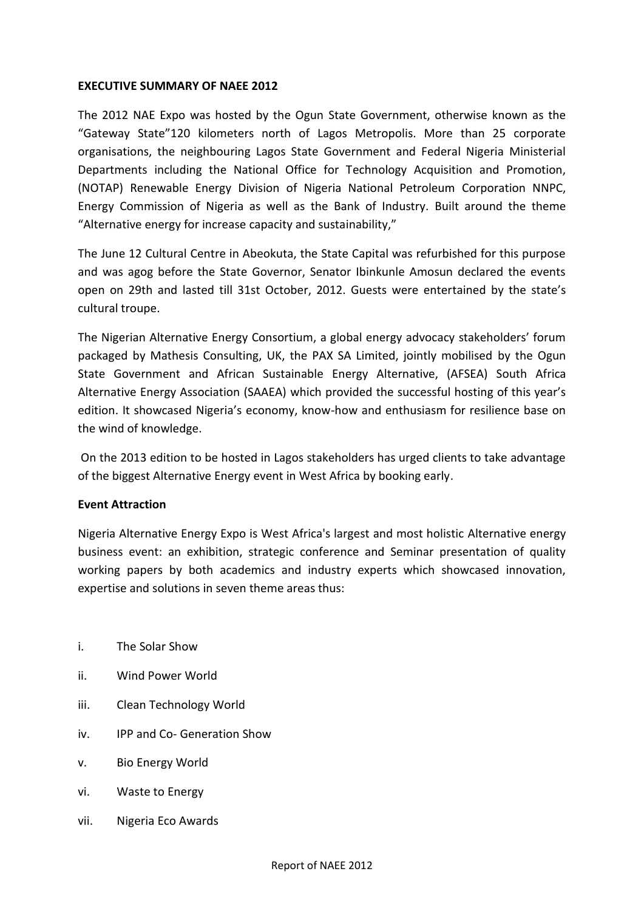# **EXECUTIVE SUMMARY OF NAEE 2012**

The 2012 NAE Expo was hosted by the Ogun State Government, otherwise known as the "Gateway State"120 kilometers north of Lagos Metropolis. More than 25 corporate organisations, the neighbouring Lagos State Government and Federal Nigeria Ministerial Departments including the National Office for Technology Acquisition and Promotion, (NOTAP) Renewable Energy Division of Nigeria National Petroleum Corporation NNPC, Energy Commission of Nigeria as well as the Bank of Industry. Built around the theme "Alternative energy for increase capacity and sustainability,"

The June 12 Cultural Centre in Abeokuta, the State Capital was refurbished for this purpose and was agog before the State Governor, Senator Ibinkunle Amosun declared the events open on 29th and lasted till 31st October, 2012. Guests were entertained by the state's cultural troupe.

The Nigerian Alternative Energy Consortium, a global energy advocacy stakeholders' forum packaged by Mathesis Consulting, UK, the PAX SA Limited, jointly mobilised by the Ogun State Government and African Sustainable Energy Alternative, (AFSEA) South Africa Alternative Energy Association (SAAEA) which provided the successful hosting of this year's edition. It showcased Nigeria's economy, know-how and enthusiasm for resilience base on the wind of knowledge.

On the 2013 edition to be hosted in Lagos stakeholders has urged clients to take advantage of the biggest Alternative Energy event in West Africa by booking early.

#### **Event Attraction**

Nigeria Alternative Energy Expo is West Africa's largest and most holistic Alternative energy business event: an exhibition, strategic conference and Seminar presentation of quality working papers by both academics and industry experts which showcased innovation, expertise and solutions in seven theme areas thus:

- i. The Solar Show
- ii. Wind Power World
- iii. Clean Technology World
- iv. IPP and Co- Generation Show
- v. Bio Energy World
- vi. Waste to Energy
- vii. Nigeria Eco Awards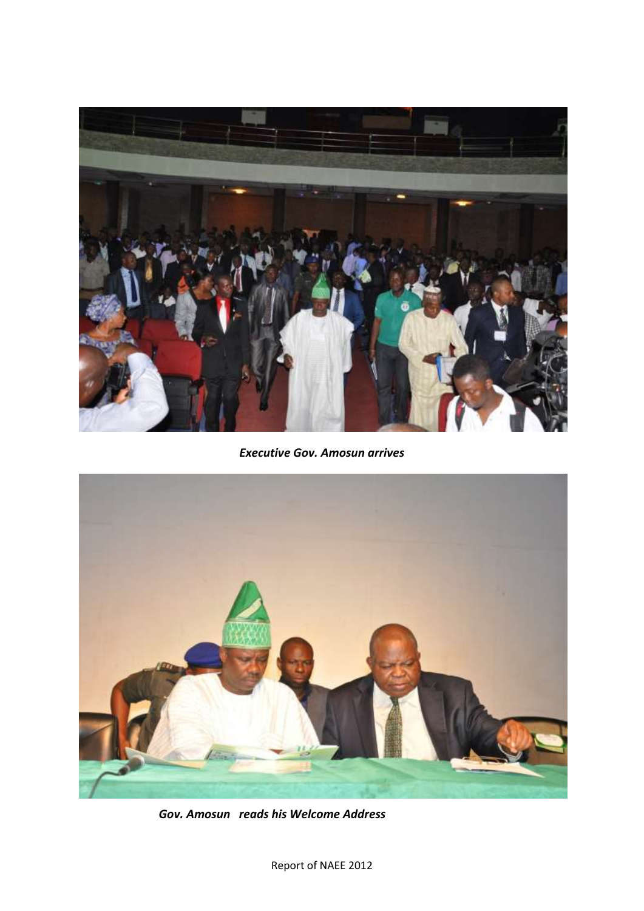

*Executive Gov. Amosun arrives*



*Gov. Amosun reads his Welcome Address*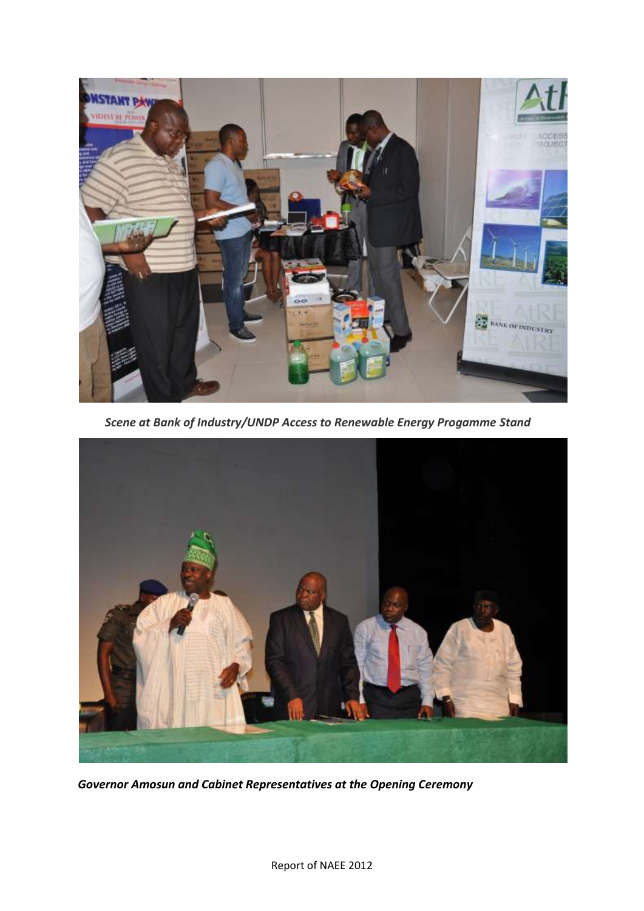

*Scene at Bank of Industry/UNDP Access to Renewable Energy Progamme Stand*



*Governor Amosun and Cabinet Representatives at the Opening Ceremony*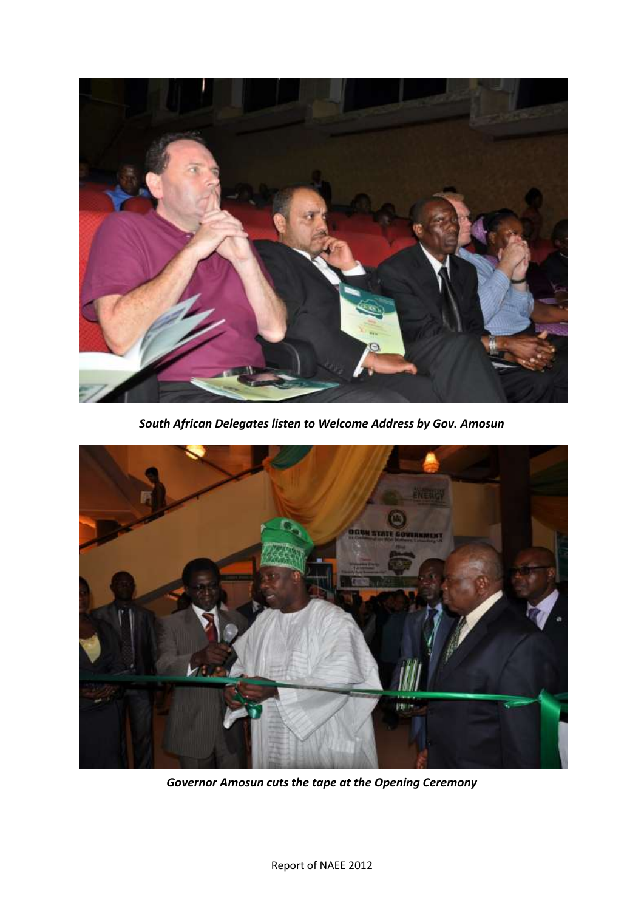

*South African Delegates listen to Welcome Address by Gov. Amosun*



*Governor Amosun cuts the tape at the Opening Ceremony*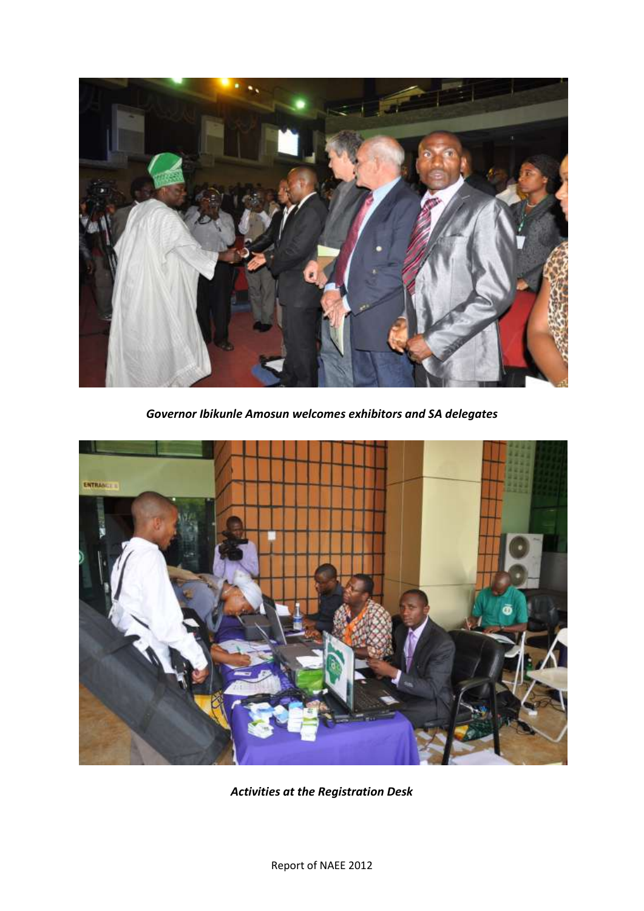

*Governor Ibikunle Amosun welcomes exhibitors and SA delegates*



*Activities at the Registration Desk*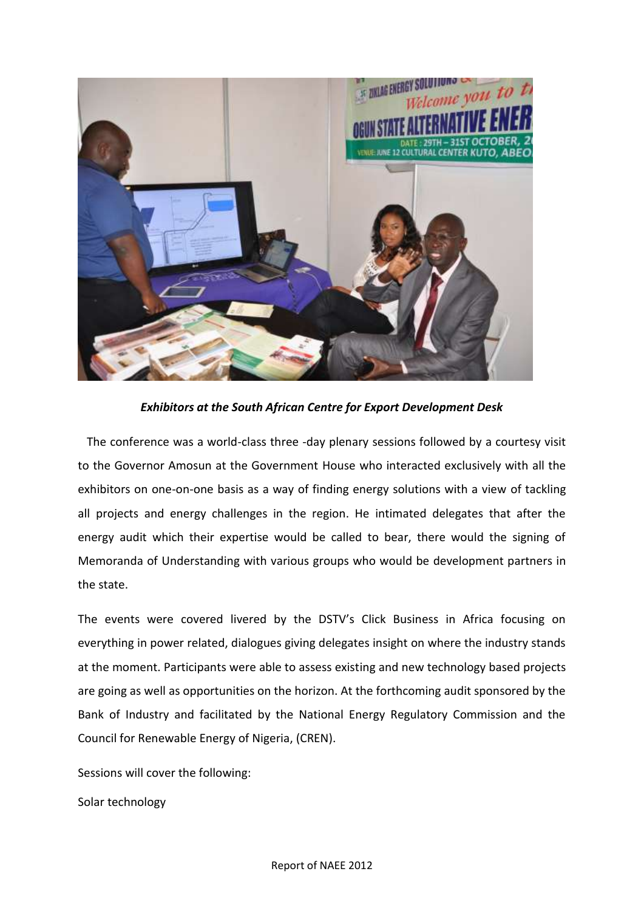

*Exhibitors at the South African Centre for Export Development Desk*

The conference was a world-class three -day plenary sessions followed by a courtesy visit to the Governor Amosun at the Government House who interacted exclusively with all the exhibitors on one-on-one basis as a way of finding energy solutions with a view of tackling all projects and energy challenges in the region. He intimated delegates that after the energy audit which their expertise would be called to bear, there would the signing of Memoranda of Understanding with various groups who would be development partners in the state.

The events were covered livered by the DSTV's Click Business in Africa focusing on everything in power related, dialogues giving delegates insight on where the industry stands at the moment. Participants were able to assess existing and new technology based projects are going as well as opportunities on the horizon. At the forthcoming audit sponsored by the Bank of Industry and facilitated by the National Energy Regulatory Commission and the Council for Renewable Energy of Nigeria, (CREN).

Sessions will cover the following:

Solar technology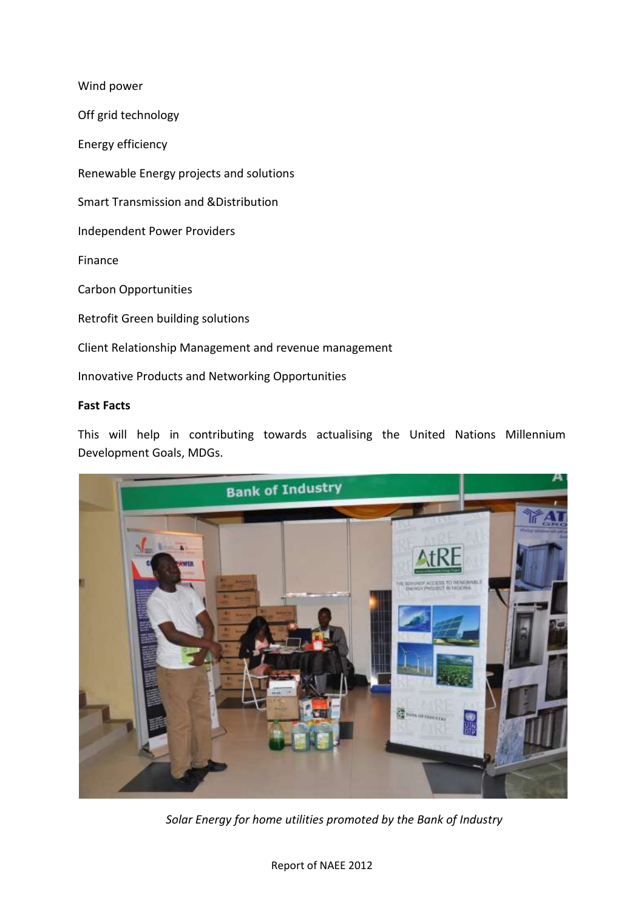Wind power Off grid technology Energy efficiency Renewable Energy projects and solutions Smart Transmission and &Distribution Independent Power Providers Finance Carbon Opportunities Retrofit Green building solutions Client Relationship Management and revenue management Innovative Products and Networking Opportunities

# **Fast Facts**

This will help in contributing towards actualising the United Nations Millennium Development Goals, MDGs.



 *Solar Energy for home utilities promoted by the Bank of Industry*

Report of NAEE 2012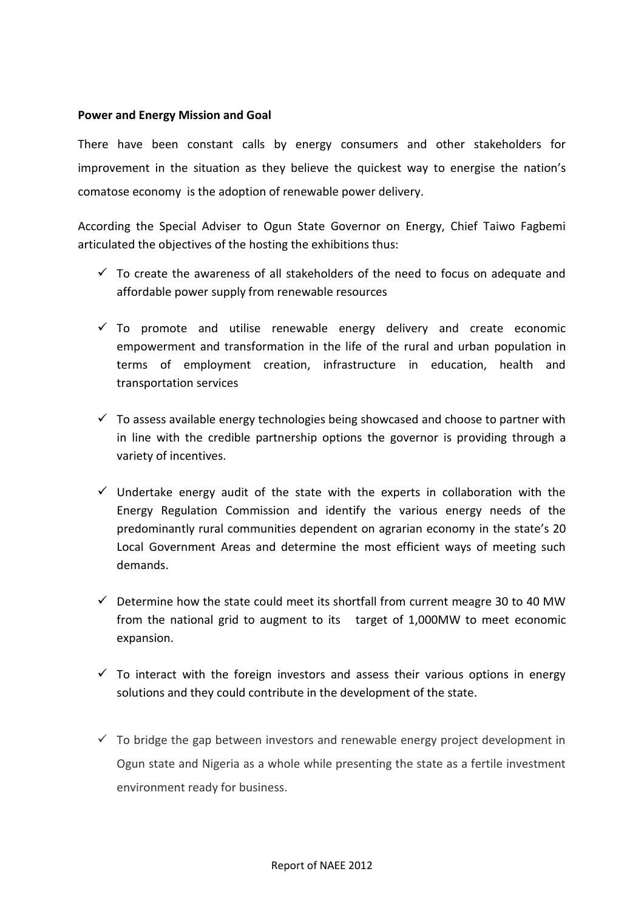# **Power and Energy Mission and Goal**

There have been constant calls by energy consumers and other stakeholders for improvement in the situation as they believe the quickest way to energise the nation's comatose economy is the adoption of renewable power delivery.

According the Special Adviser to Ogun State Governor on Energy, Chief Taiwo Fagbemi articulated the objectives of the hosting the exhibitions thus:

- $\checkmark$  To create the awareness of all stakeholders of the need to focus on adequate and affordable power supply from renewable resources
- $\checkmark$  To promote and utilise renewable energy delivery and create economic empowerment and transformation in the life of the rural and urban population in terms of employment creation, infrastructure in education, health and transportation services
- $\checkmark$  To assess available energy technologies being showcased and choose to partner with in line with the credible partnership options the governor is providing through a variety of incentives.
- $\checkmark$  Undertake energy audit of the state with the experts in collaboration with the Energy Regulation Commission and identify the various energy needs of the predominantly rural communities dependent on agrarian economy in the state's 20 Local Government Areas and determine the most efficient ways of meeting such demands.
- $\checkmark$  Determine how the state could meet its shortfall from current meagre 30 to 40 MW from the national grid to augment to its target of 1,000MW to meet economic expansion.
- $\checkmark$  To interact with the foreign investors and assess their various options in energy solutions and they could contribute in the development of the state.
- $\checkmark$  To bridge the gap between investors and renewable energy project development in Ogun state and Nigeria as a whole while presenting the state as a fertile investment environment ready for business.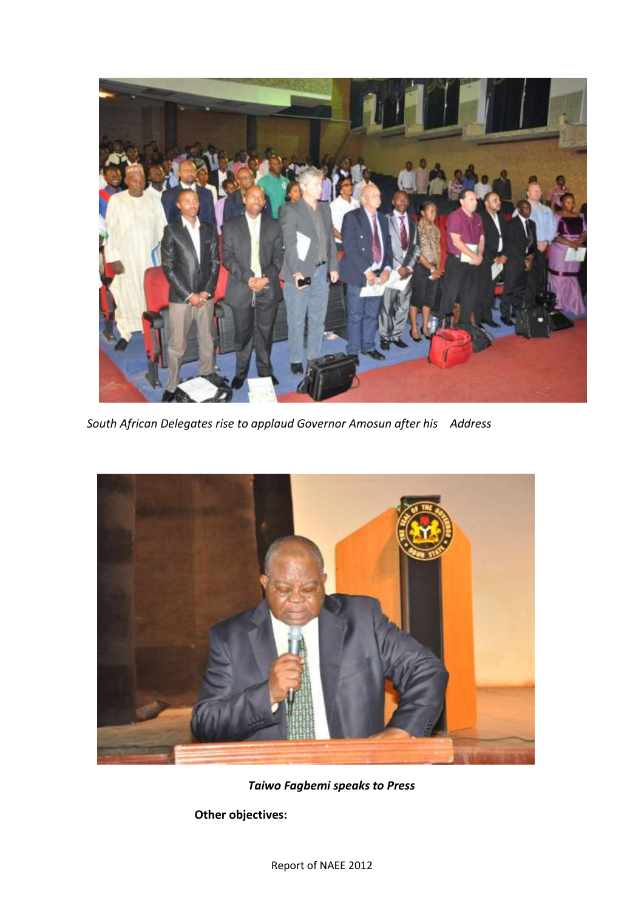

*South African Delegates rise to applaud Governor Amosun after his Address*



*Taiwo Fagbemi speaks to Press*

**Other objectives:**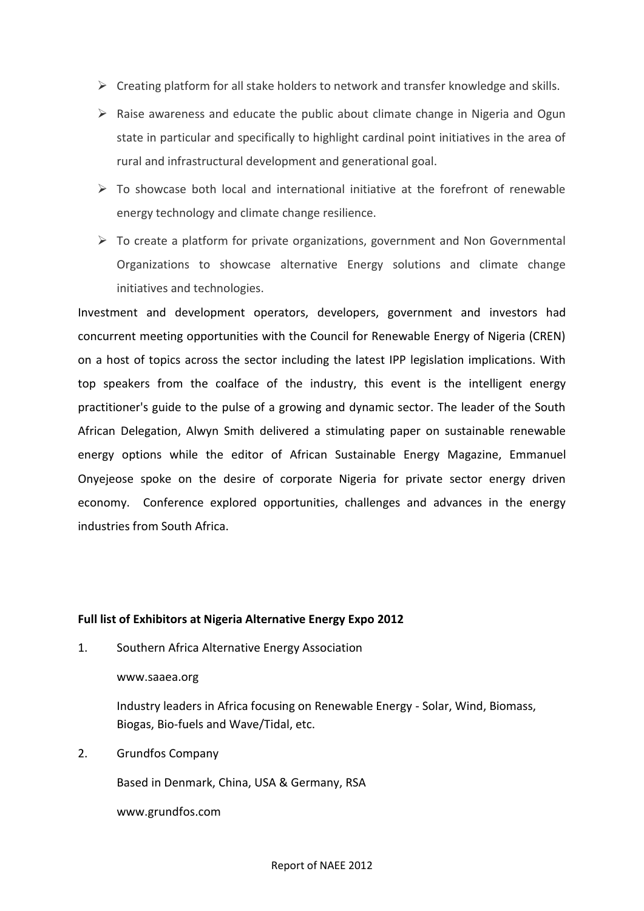- $\triangleright$  Creating platform for all stake holders to network and transfer knowledge and skills.
- $\triangleright$  Raise awareness and educate the public about climate change in Nigeria and Ogun state in particular and specifically to highlight cardinal point initiatives in the area of rural and infrastructural development and generational goal.
- $\triangleright$  To showcase both local and international initiative at the forefront of renewable energy technology and climate change resilience.
- $\triangleright$  To create a platform for private organizations, government and Non Governmental Organizations to showcase alternative Energy solutions and climate change initiatives and technologies.

Investment and development operators, developers, government and investors had concurrent meeting opportunities with the Council for Renewable Energy of Nigeria (CREN) on a host of topics across the sector including the latest IPP legislation implications. With top speakers from the coalface of the industry, this event is the intelligent energy practitioner's guide to the pulse of a growing and dynamic sector. The leader of the South African Delegation, Alwyn Smith delivered a stimulating paper on sustainable renewable energy options while the editor of African Sustainable Energy Magazine, Emmanuel Onyejeose spoke on the desire of corporate Nigeria for private sector energy driven economy. Conference explored opportunities, challenges and advances in the energy industries from South Africa.

#### **Full list of Exhibitors at Nigeria Alternative Energy Expo 2012**

1. Southern Africa Alternative Energy Association

www.saaea.org

Industry leaders in Africa focusing on Renewable Energy - Solar, Wind, Biomass, Biogas, Bio-fuels and Wave/Tidal, etc.

2. Grundfos Company

Based in Denmark, China, USA & Germany, RSA

www.grundfos.com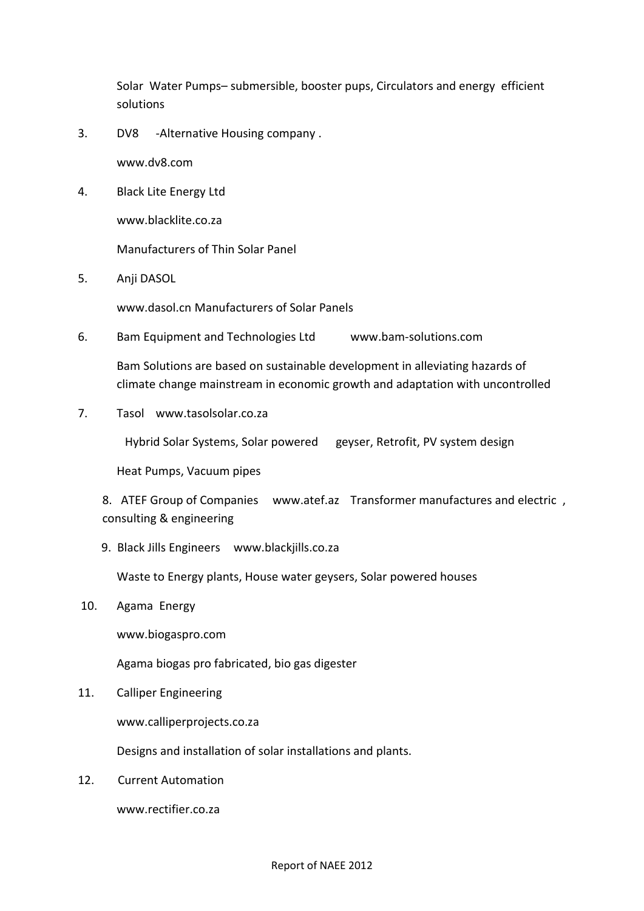Solar Water Pumps– submersible, booster pups, Circulators and energy efficient solutions

3. DV8 -Alternative Housing company .

www.dv8.com

4. Black Lite Energy Ltd

www.blacklite.co.za

Manufacturers of Thin Solar Panel

5. Anji DASOL

www.dasol.cn Manufacturers of Solar Panels

6. Bam Equipment and Technologies Ltd www.bam-solutions.com

Bam Solutions are based on sustainable development in alleviating hazards of climate change mainstream in economic growth and adaptation with uncontrolled

7. Tasol www.tasolsolar.co.za

Hybrid Solar Systems, Solar powered geyser, Retrofit, PV system design

Heat Pumps, Vacuum pipes

8. ATEF Group of Companies www.atef.az Transformer manufactures and electric , consulting & engineering

9. Black Jills Engineers www.blackjills.co.za

Waste to Energy plants, House water geysers, Solar powered houses

10. Agama Energy

www.biogaspro.com

Agama biogas pro fabricated, bio gas digester

11. Calliper Engineering

www.calliperprojects.co.za

Designs and installation of solar installations and plants.

12. Current Automation

www.rectifier.co.za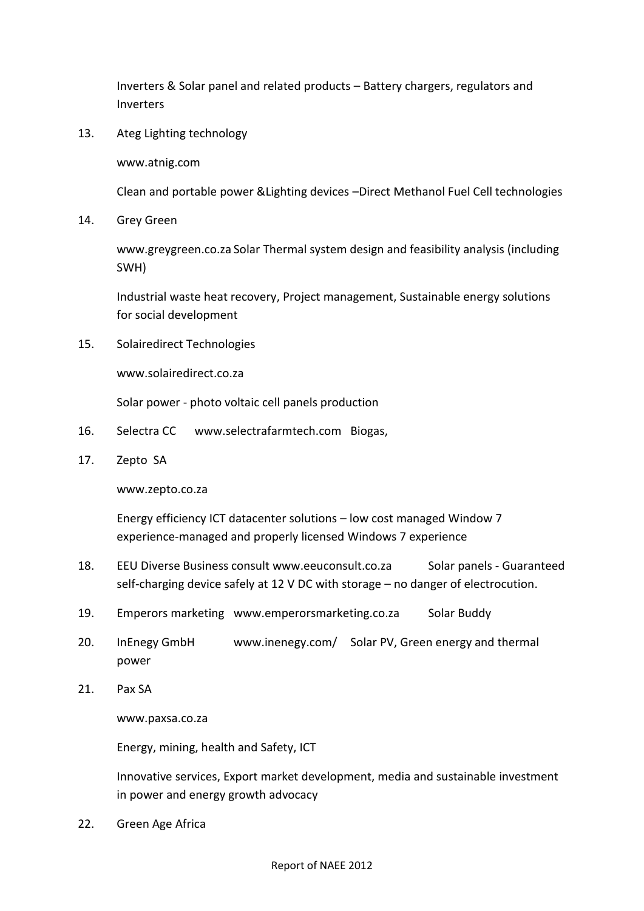Inverters & Solar panel and related products – Battery chargers, regulators and Inverters

13. Ateg Lighting technology

www.atnig.com

Clean and portable power &Lighting devices –Direct Methanol Fuel Cell technologies

14. Grey Green

www.greygreen.co.za Solar Thermal system design and feasibility analysis (including SWH)

Industrial waste heat recovery, Project management, Sustainable energy solutions for social development

15. Solairedirect Technologies

www.solairedirect.co.za

Solar power - photo voltaic cell panels production

- 16. Selectra CC www.selectrafarmtech.com Biogas,
- 17. Zepto SA

www.zepto.co.za

Energy efficiency ICT datacenter solutions – low cost managed Window 7 experience-managed and properly licensed Windows 7 experience

- 18. EEU Diverse Business consult www.eeuconsult.co.za Solar panels Guaranteed self-charging device safely at 12 V DC with storage – no danger of electrocution.
- 19. Emperors marketing www.emperorsmarketing.co.za Solar Buddy
- 20. InEnegy GmbH www.inenegy.com/ Solar PV, Green energy and thermal power
- 21. Pax SA

www.paxsa.co.za

Energy, mining, health and Safety, ICT

Innovative services, Export market development, media and sustainable investment in power and energy growth advocacy

22. Green Age Africa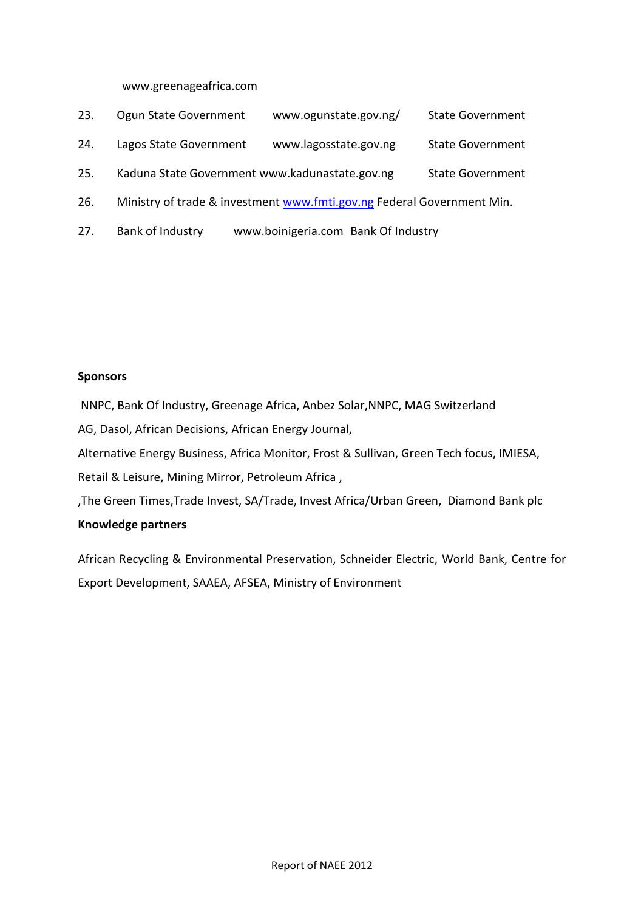### www.greenageafrica.com

- 23. Ogun State Government www.ogunstate.gov.ng/ State Government
- 24. Lagos State Government www.lagosstate.gov.ng State Government
- 25. Kaduna State Government www.kadunastate.gov.ng State Government
- 26. Ministry of trade & investment [www.fmti.gov.ng](http://www.fmti.gov.ng/) Federal Government Min.
- 27. Bank of Industry www.boinigeria.com Bank Of Industry

### **Sponsors**

NNPC, Bank Of Industry, Greenage Africa, Anbez Solar,NNPC, MAG Switzerland AG, Dasol, African Decisions, African Energy Journal, Alternative Energy Business, Africa Monitor, Frost & Sullivan, Green Tech focus, IMIESA, Retail & Leisure, Mining Mirror, Petroleum Africa , ,The Green Times,Trade Invest, SA/Trade, Invest Africa/Urban Green, Diamond Bank plc

# **Knowledge partners**

African Recycling & Environmental Preservation, Schneider Electric, World Bank, Centre for Export Development, SAAEA, AFSEA, Ministry of Environment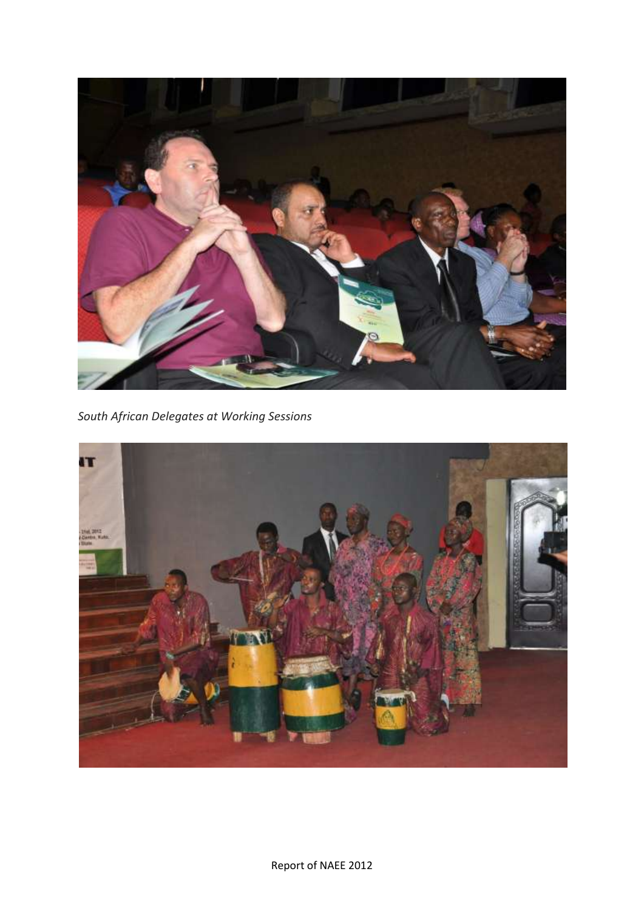

*South African Delegates at Working Sessions*

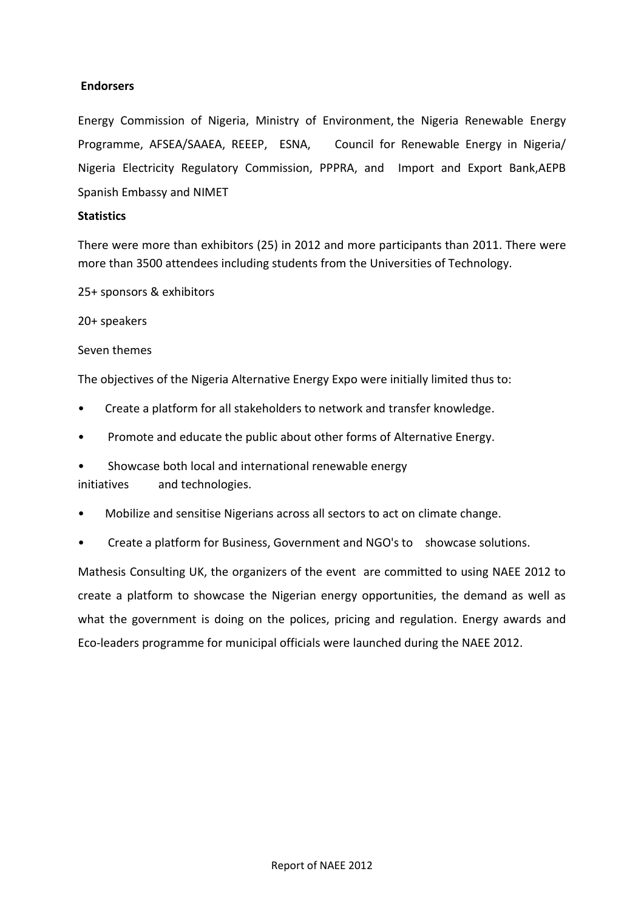# **Endorsers**

Energy Commission of Nigeria, Ministry of Environment, the Nigeria Renewable Energy Programme, AFSEA/SAAEA, REEEP, ESNA, Council for Renewable Energy in Nigeria/ Nigeria Electricity Regulatory Commission, PPPRA, and Import and Export Bank,AEPB Spanish Embassy and NIMET

# **Statistics**

There were more than exhibitors (25) in 2012 and more participants than 2011. There were more than 3500 attendees including students from the Universities of Technology.

25+ sponsors & exhibitors

20+ speakers

Seven themes

The objectives of the Nigeria Alternative Energy Expo were initially limited thus to:

- Create a platform for all stakeholders to network and transfer knowledge.
- Promote and educate the public about other forms of Alternative Energy.
- Showcase both local and international renewable energy

initiatives and technologies.

- Mobilize and sensitise Nigerians across all sectors to act on climate change.
- Create a platform for Business, Government and NGO's to showcase solutions.

Mathesis Consulting UK, the organizers of the event are committed to using NAEE 2012 to create a platform to showcase the Nigerian energy opportunities, the demand as well as what the government is doing on the polices, pricing and regulation. Energy awards and Eco-leaders programme for municipal officials were launched during the NAEE 2012.